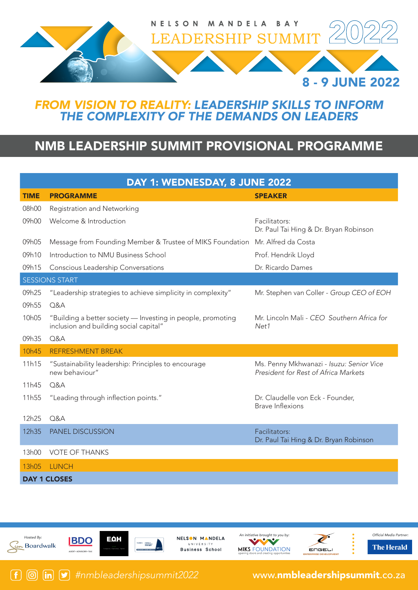

## *FROM VISION TO REALITY: LEADERSHIP SKILLS TO INFORM THE COMPLEXITY OF THE DEMANDS ON LEADERS*

## NMB LEADERSHIP SUMMIT PROVISIONAL PROGRAMME

| DAY 1: WEDNESDAY, 8 JUNE 2022 |                                                                                                       |                                                                                  |  |
|-------------------------------|-------------------------------------------------------------------------------------------------------|----------------------------------------------------------------------------------|--|
| <b>TIME</b>                   | <b>PROGRAMME</b>                                                                                      | <b>SPEAKER</b>                                                                   |  |
| 08h00                         | Registration and Networking                                                                           |                                                                                  |  |
| 09h00                         | Welcome & Introduction                                                                                | Facilitators:<br>Dr. Paul Tai Hing & Dr. Bryan Robinson                          |  |
| 09h05                         | Message from Founding Member & Trustee of MIKS Foundation Mr. Alfred da Costa                         |                                                                                  |  |
| 09h10                         | Introduction to NMU Business School                                                                   | Prof. Hendrik Lloyd                                                              |  |
| 09h15                         | Conscious Leadership Conversations                                                                    | Dr. Ricardo Dames                                                                |  |
| <b>SESSIONS START</b>         |                                                                                                       |                                                                                  |  |
| 09h25                         | "Leadership strategies to achieve simplicity in complexity"                                           | Mr. Stephen van Coller - Group CEO of EOH                                        |  |
| 09h55                         | Q&A                                                                                                   |                                                                                  |  |
| 10h05                         | "Building a better society - Investing in people, promoting<br>inclusion and building social capital" | Mr. Lincoln Mali - CEO Southern Africa for<br>Net1                               |  |
| 09h35                         | O&A                                                                                                   |                                                                                  |  |
| 10h45                         | <b>REFRESHMENT BREAK</b>                                                                              |                                                                                  |  |
| 11h15                         | "Sustainability leadership: Principles to encourage<br>new behaviour"                                 | Ms. Penny Mkhwanazi - Isuzu: Senior Vice<br>President for Rest of Africa Markets |  |
| 11h45                         | Q&A                                                                                                   |                                                                                  |  |
| 11h55                         | "Leading through inflection points."                                                                  | Dr. Claudelle von Eck - Founder,<br><b>Brave Inflexions</b>                      |  |
| 12h25                         | Q&A                                                                                                   |                                                                                  |  |
|                               | PANEL DISCUSSION                                                                                      | Facilitators:                                                                    |  |
| 12h35                         |                                                                                                       | Dr. Paul Tai Hing & Dr. Bryan Robinson                                           |  |
| 13h00                         | <b>VOTE OF THANKS</b>                                                                                 |                                                                                  |  |
| 13h05                         | <b>LUNCH</b>                                                                                          |                                                                                  |  |

Hosted By: un Boardwalk

 $\lceil f \rceil$ 



NELSON MANDELA **HAIVERSIT** Business School







Official Media Partner **The Herald** 

*#nmbleadershipsummit2022* www.nmbleadershipsummit.co.za